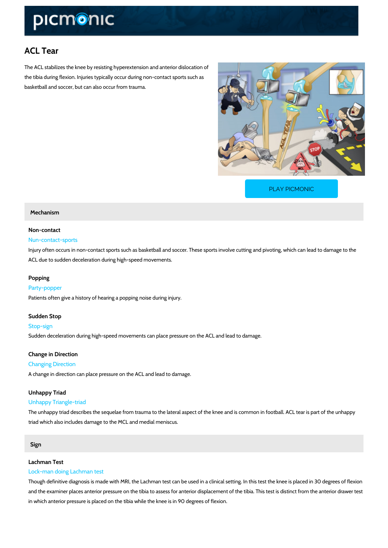# ACL Tear

The ACL stabilizes the knee by resisting hyperextension and anterior dislocation of the tibia during flexion. Injuries typically occur during non-contact sports such as basketball and soccer, but can also occur from trauma.

[PLAY PICMONIC](https://www.picmonic.com/learn/acl-tear_1351?utm_source=downloadable_content&utm_medium=distributedcontent&utm_campaign=pathways_pdf&utm_content=ACL Tear&utm_ad_group=leads&utm_market=all)

# Mechanism

# Non-contact

### Nun-contact-sports

Injury often occurs in non-contact sports such as basketball and soccer. These sports involve ACL due to sudden deceleration during high-speed movements.

#### Popping

#### Party-popper

Patients often give a history of hearing a popping noise during injury.

## Sudden Stop

#### Stop-sign

Sudden deceleration during high-speed movements can place pressure on the ACL and lead to

# Change in Direction

# Changing Direction

A change in direction can place pressure on the ACL and lead to damage.

#### Unhappy Triad

#### Unhappy Triangle-triad

The unhappy triad describes the sequelae from trauma to the lateral aspect of the knee and is triad which also includes damage to the MCL and medial meniscus.

# Sign

#### Lachman Test

#### Lock-man doing Lachman test

Though definitive diagnosis is made with MRI, the Lachman test can be used in a clinical sett and the examiner places anterior pressure on the tibia to assess for anterior displacement of in which anterior pressure is placed on the tibia while the knee is in 90 degrees of flexion.